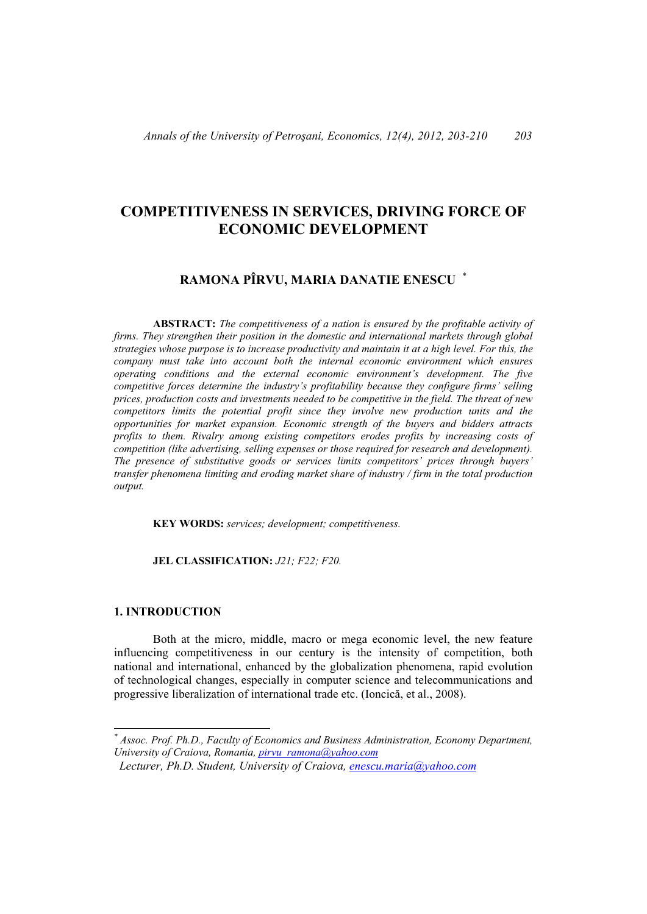# **COMPETITIVENESS IN SERVICES, DRIVING FORCE OF ECONOMIC DEVELOPMENT**

## **RAMONA PÎRVU, MARIA DANATIE ENESCU** \*

**ABSTRACT:** *The competitiveness of a nation is ensured by the profitable activity of firms. They strengthen their position in the domestic and international markets through global strategies whose purpose is to increase productivity and maintain it at a high level. For this, the company must take into account both the internal economic environment which ensures operating conditions and the external economic environment's development. The five competitive forces determine the industry's profitability because they configure firms' selling prices, production costs and investments needed to be competitive in the field. The threat of new competitors limits the potential profit since they involve new production units and the opportunities for market expansion. Economic strength of the buyers and bidders attracts profits to them. Rivalry among existing competitors erodes profits by increasing costs of competition (like advertising, selling expenses or those required for research and development). The presence of substitutive goods or services limits competitors' prices through buyers' transfer phenomena limiting and eroding market share of industry / firm in the total production output.* 

 **KEY WORDS:** *services; development; competitiveness.*

 **JEL CLASSIFICATION:** *J21; F22; F20.* 

### **1. INTRODUCTION**

l

Both at the micro, middle, macro or mega economic level, the new feature influencing competitiveness in our century is the intensity of competition, both national and international, enhanced by the globalization phenomena, rapid evolution of technological changes, especially in computer science and telecommunications and progressive liberalization of international trade etc. (Ioncică, et al., 2008).

*<sup>\*</sup> Assoc. Prof. Ph.D., Faculty of Economics and Business Administration, Economy Department, University of Craiova, Romania, pirvu\_ramona@yahoo.com*

*Lecturer, Ph.D. Student, University of Craiova, enescu.maria@yahoo.com*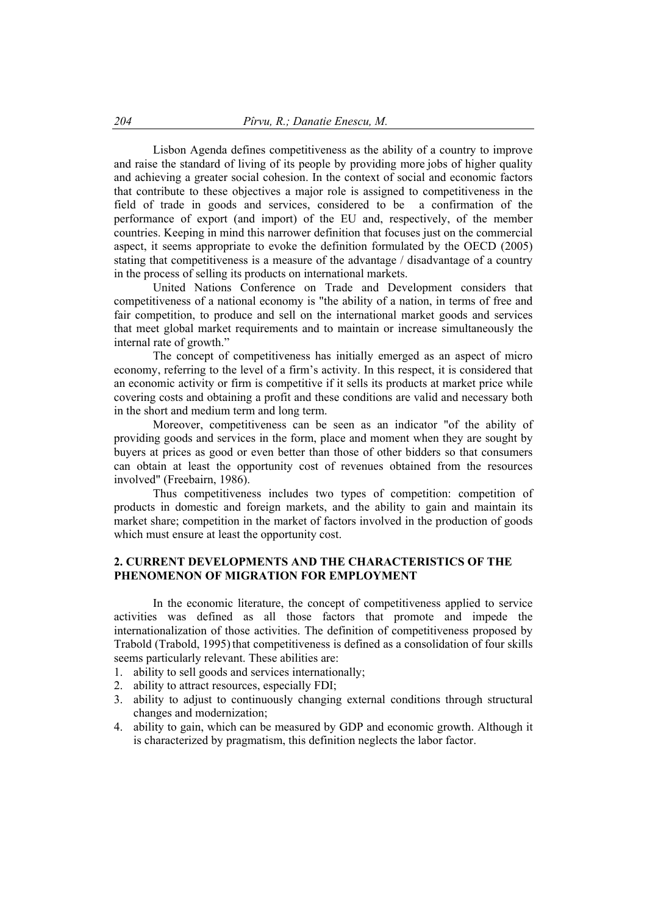Lisbon Agenda defines competitiveness as the ability of a country to improve and raise the standard of living of its people by providing more jobs of higher quality and achieving a greater social cohesion. In the context of social and economic factors that contribute to these objectives a major role is assigned to competitiveness in the field of trade in goods and services, considered to be a confirmation of the performance of export (and import) of the EU and, respectively, of the member countries. Keeping in mind this narrower definition that focuses just on the commercial aspect, it seems appropriate to evoke the definition formulated by the OECD (2005) stating that competitiveness is a measure of the advantage / disadvantage of a country in the process of selling its products on international markets.

United Nations Conference on Trade and Development considers that competitiveness of a national economy is "the ability of a nation, in terms of free and fair competition, to produce and sell on the international market goods and services that meet global market requirements and to maintain or increase simultaneously the internal rate of growth."

 The concept of competitiveness has initially emerged as an aspect of micro economy, referring to the level of a firm's activity. In this respect, it is considered that an economic activity or firm is competitive if it sells its products at market price while covering costs and obtaining a profit and these conditions are valid and necessary both in the short and medium term and long term.

Moreover, competitiveness can be seen as an indicator "of the ability of providing goods and services in the form, place and moment when they are sought by buyers at prices as good or even better than those of other bidders so that consumers can obtain at least the opportunity cost of revenues obtained from the resources involved" (Freebairn, 1986).

 Thus competitiveness includes two types of competition: competition of products in domestic and foreign markets, and the ability to gain and maintain its market share; competition in the market of factors involved in the production of goods which must ensure at least the opportunity cost.

#### **2. CURRENT DEVELOPMENTS AND THE CHARACTERISTICS OF THE PHENOMENON OF MIGRATION FOR EMPLOYMENT**

In the economic literature, the concept of competitiveness applied to service activities was defined as all those factors that promote and impede the internationalization of those activities. The definition of competitiveness proposed by Trabold (Trabold, 1995) that competitiveness is defined as a consolidation of four skills seems particularly relevant. These abilities are:

- 1. ability to sell goods and services internationally;
- 2. ability to attract resources, especially FDI;
- 3. ability to adjust to continuously changing external conditions through structural changes and modernization;
- 4. ability to gain, which can be measured by GDP and economic growth. Although it is characterized by pragmatism, this definition neglects the labor factor.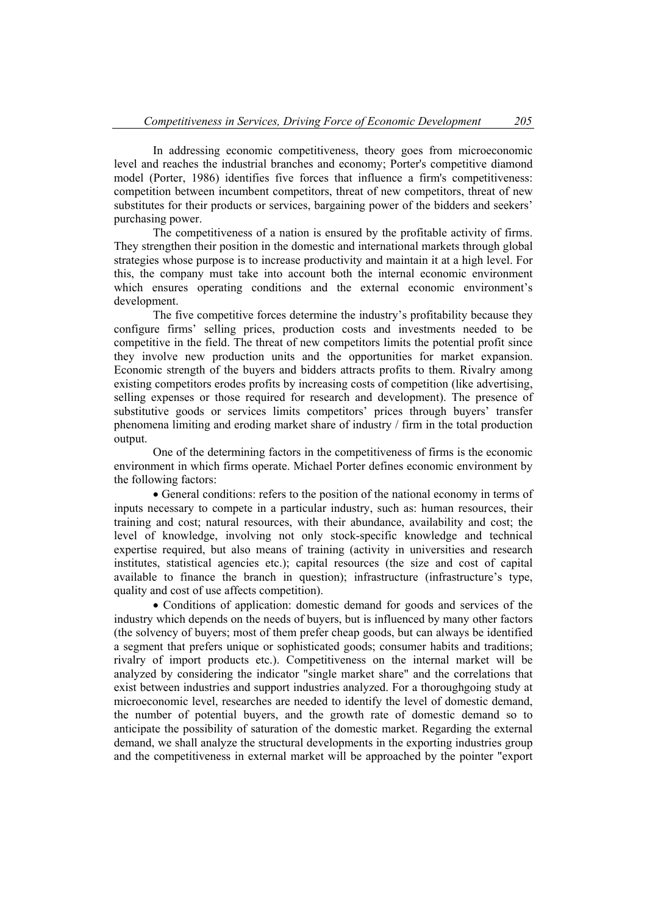In addressing economic competitiveness, theory goes from microeconomic level and reaches the industrial branches and economy; Porter's competitive diamond model (Porter, 1986) identifies five forces that influence a firm's competitiveness: competition between incumbent competitors, threat of new competitors, threat of new substitutes for their products or services, bargaining power of the bidders and seekers' purchasing power.

 The competitiveness of a nation is ensured by the profitable activity of firms. They strengthen their position in the domestic and international markets through global strategies whose purpose is to increase productivity and maintain it at a high level. For this, the company must take into account both the internal economic environment which ensures operating conditions and the external economic environment's development.

 The five competitive forces determine the industry's profitability because they configure firms' selling prices, production costs and investments needed to be competitive in the field. The threat of new competitors limits the potential profit since they involve new production units and the opportunities for market expansion. Economic strength of the buyers and bidders attracts profits to them. Rivalry among existing competitors erodes profits by increasing costs of competition (like advertising, selling expenses or those required for research and development). The presence of substitutive goods or services limits competitors' prices through buyers' transfer phenomena limiting and eroding market share of industry / firm in the total production output.

 One of the determining factors in the competitiveness of firms is the economic environment in which firms operate. Michael Porter defines economic environment by the following factors:

 General conditions: refers to the position of the national economy in terms of inputs necessary to compete in a particular industry, such as: human resources, their training and cost; natural resources, with their abundance, availability and cost; the level of knowledge, involving not only stock-specific knowledge and technical expertise required, but also means of training (activity in universities and research institutes, statistical agencies etc.); capital resources (the size and cost of capital available to finance the branch in question); infrastructure (infrastructure's type, quality and cost of use affects competition).

• Conditions of application: domestic demand for goods and services of the industry which depends on the needs of buyers, but is influenced by many other factors (the solvency of buyers; most of them prefer cheap goods, but can always be identified a segment that prefers unique or sophisticated goods; consumer habits and traditions; rivalry of import products etc.). Competitiveness on the internal market will be analyzed by considering the indicator "single market share" and the correlations that exist between industries and support industries analyzed. For a thoroughgoing study at microeconomic level, researches are needed to identify the level of domestic demand, the number of potential buyers, and the growth rate of domestic demand so to anticipate the possibility of saturation of the domestic market. Regarding the external demand, we shall analyze the structural developments in the exporting industries group and the competitiveness in external market will be approached by the pointer "export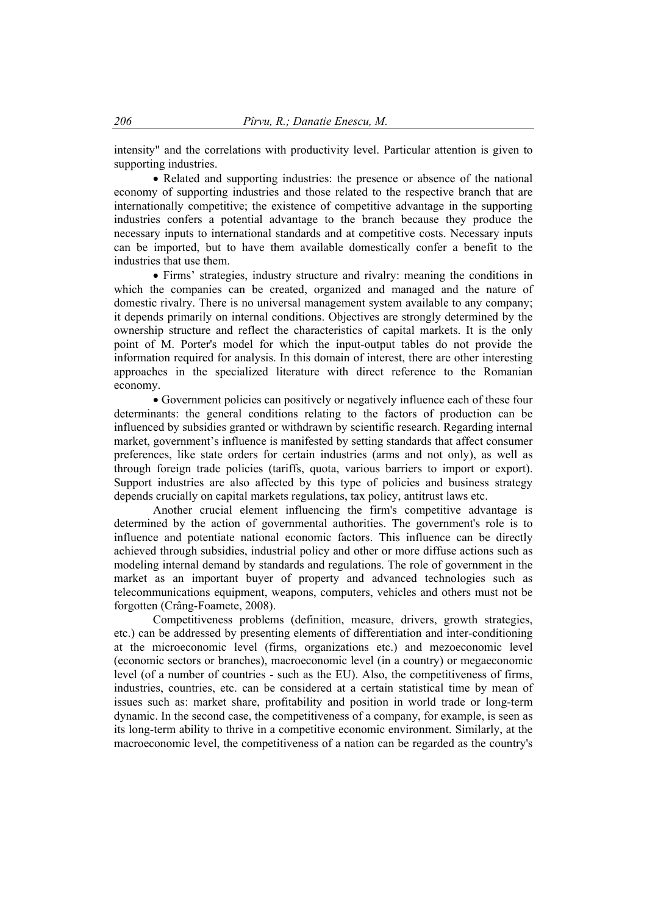intensity" and the correlations with productivity level. Particular attention is given to supporting industries.

• Related and supporting industries: the presence or absence of the national economy of supporting industries and those related to the respective branch that are internationally competitive; the existence of competitive advantage in the supporting industries confers a potential advantage to the branch because they produce the necessary inputs to international standards and at competitive costs. Necessary inputs can be imported, but to have them available domestically confer a benefit to the industries that use them.

 Firms' strategies, industry structure and rivalry: meaning the conditions in which the companies can be created, organized and managed and the nature of domestic rivalry. There is no universal management system available to any company; it depends primarily on internal conditions. Objectives are strongly determined by the ownership structure and reflect the characteristics of capital markets. It is the only point of M. Porter's model for which the input-output tables do not provide the information required for analysis. In this domain of interest, there are other interesting approaches in the specialized literature with direct reference to the Romanian economy.

 Government policies can positively or negatively influence each of these four determinants: the general conditions relating to the factors of production can be influenced by subsidies granted or withdrawn by scientific research. Regarding internal market, government's influence is manifested by setting standards that affect consumer preferences, like state orders for certain industries (arms and not only), as well as through foreign trade policies (tariffs, quota, various barriers to import or export). Support industries are also affected by this type of policies and business strategy depends crucially on capital markets regulations, tax policy, antitrust laws etc.

Another crucial element influencing the firm's competitive advantage is determined by the action of governmental authorities. The government's role is to influence and potentiate national economic factors. This influence can be directly achieved through subsidies, industrial policy and other or more diffuse actions such as modeling internal demand by standards and regulations. The role of government in the market as an important buyer of property and advanced technologies such as telecommunications equipment, weapons, computers, vehicles and others must not be forgotten (Crâng-Foamete, 2008).

Competitiveness problems (definition, measure, drivers, growth strategies, etc.) can be addressed by presenting elements of differentiation and inter-conditioning at the microeconomic level (firms, organizations etc.) and mezoeconomic level (economic sectors or branches), macroeconomic level (in a country) or megaeconomic level (of a number of countries - such as the EU). Also, the competitiveness of firms, industries, countries, etc. can be considered at a certain statistical time by mean of issues such as: market share, profitability and position in world trade or long-term dynamic. In the second case, the competitiveness of a company, for example, is seen as its long-term ability to thrive in a competitive economic environment. Similarly, at the macroeconomic level, the competitiveness of a nation can be regarded as the country's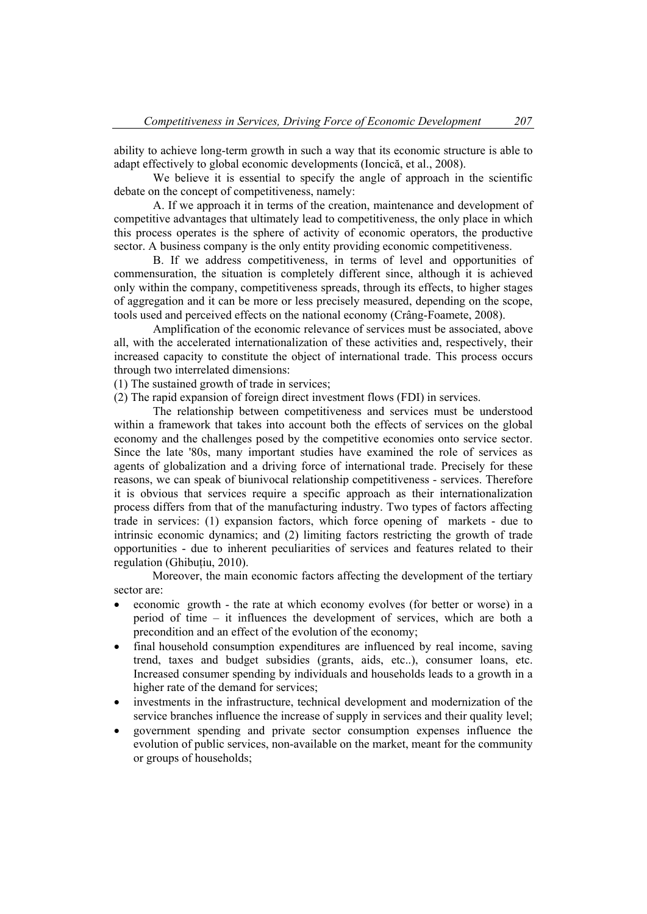ability to achieve long-term growth in such a way that its economic structure is able to adapt effectively to global economic developments (Ioncică, et al., 2008).

We believe it is essential to specify the angle of approach in the scientific debate on the concept of competitiveness, namely:

A. If we approach it in terms of the creation, maintenance and development of competitive advantages that ultimately lead to competitiveness, the only place in which this process operates is the sphere of activity of economic operators, the productive sector. A business company is the only entity providing economic competitiveness.

B. If we address competitiveness, in terms of level and opportunities of commensuration, the situation is completely different since, although it is achieved only within the company, competitiveness spreads, through its effects, to higher stages of aggregation and it can be more or less precisely measured, depending on the scope, tools used and perceived effects on the national economy (Crâng-Foamete, 2008).

Amplification of the economic relevance of services must be associated, above all, with the accelerated internationalization of these activities and, respectively, their increased capacity to constitute the object of international trade. This process occurs through two interrelated dimensions:

(1) The sustained growth of trade in services;

(2) The rapid expansion of foreign direct investment flows (FDI) in services.

The relationship between competitiveness and services must be understood within a framework that takes into account both the effects of services on the global economy and the challenges posed by the competitive economies onto service sector. Since the late '80s, many important studies have examined the role of services as agents of globalization and a driving force of international trade. Precisely for these reasons, we can speak of biunivocal relationship competitiveness - services. Therefore it is obvious that services require a specific approach as their internationalization process differs from that of the manufacturing industry. Two types of factors affecting trade in services: (1) expansion factors, which force opening of markets - due to intrinsic economic dynamics; and (2) limiting factors restricting the growth of trade opportunities - due to inherent peculiarities of services and features related to their regulation (Ghibuţiu, 2010).

Moreover, the main economic factors affecting the development of the tertiary sector are:

- economic growth the rate at which economy evolves (for better or worse) in a period of time – it influences the development of services, which are both a precondition and an effect of the evolution of the economy;
- final household consumption expenditures are influenced by real income, saving trend, taxes and budget subsidies (grants, aids, etc..), consumer loans, etc. Increased consumer spending by individuals and households leads to a growth in a higher rate of the demand for services;
- investments in the infrastructure, technical development and modernization of the service branches influence the increase of supply in services and their quality level;
- government spending and private sector consumption expenses influence the evolution of public services, non-available on the market, meant for the community or groups of households;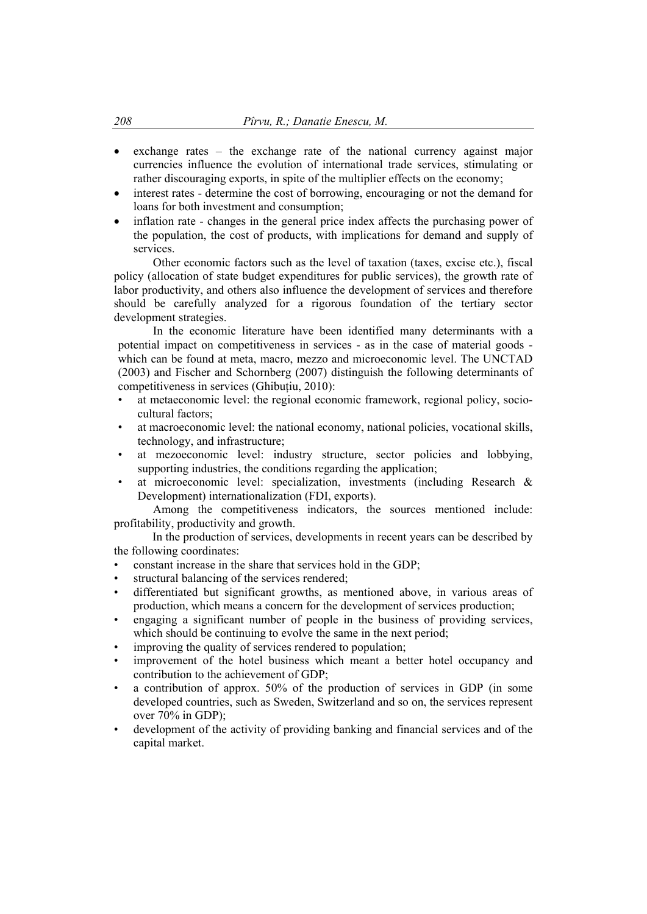- $\bullet$  exchange rates the exchange rate of the national currency against major currencies influence the evolution of international trade services, stimulating or rather discouraging exports, in spite of the multiplier effects on the economy;
- interest rates determine the cost of borrowing, encouraging or not the demand for loans for both investment and consumption;
- inflation rate changes in the general price index affects the purchasing power of the population, the cost of products, with implications for demand and supply of services.

 Other economic factors such as the level of taxation (taxes, excise etc.), fiscal policy (allocation of state budget expenditures for public services), the growth rate of labor productivity, and others also influence the development of services and therefore should be carefully analyzed for a rigorous foundation of the tertiary sector development strategies.

In the economic literature have been identified many determinants with a potential impact on competitiveness in services - as in the case of material goods which can be found at meta, macro, mezzo and microeconomic level. The UNCTAD (2003) and Fischer and Schornberg (2007) distinguish the following determinants of competitiveness in services (Ghibuțiu, 2010):

- at metaeconomic level: the regional economic framework, regional policy, sociocultural factors;
- at macroeconomic level: the national economy, national policies, vocational skills, technology, and infrastructure;
- at mezoeconomic level: industry structure, sector policies and lobbying, supporting industries, the conditions regarding the application;
- at microeconomic level: specialization, investments (including Research & Development) internationalization (FDI, exports).

 Among the competitiveness indicators, the sources mentioned include: profitability, productivity and growth.

In the production of services, developments in recent years can be described by the following coordinates:

- constant increase in the share that services hold in the GDP;
- structural balancing of the services rendered;
- differentiated but significant growths, as mentioned above, in various areas of production, which means a concern for the development of services production;
- engaging a significant number of people in the business of providing services, which should be continuing to evolve the same in the next period;
- improving the quality of services rendered to population;
- improvement of the hotel business which meant a better hotel occupancy and contribution to the achievement of GDP;
- a contribution of approx. 50% of the production of services in GDP (in some developed countries, such as Sweden, Switzerland and so on, the services represent over 70% in GDP);
- development of the activity of providing banking and financial services and of the capital market.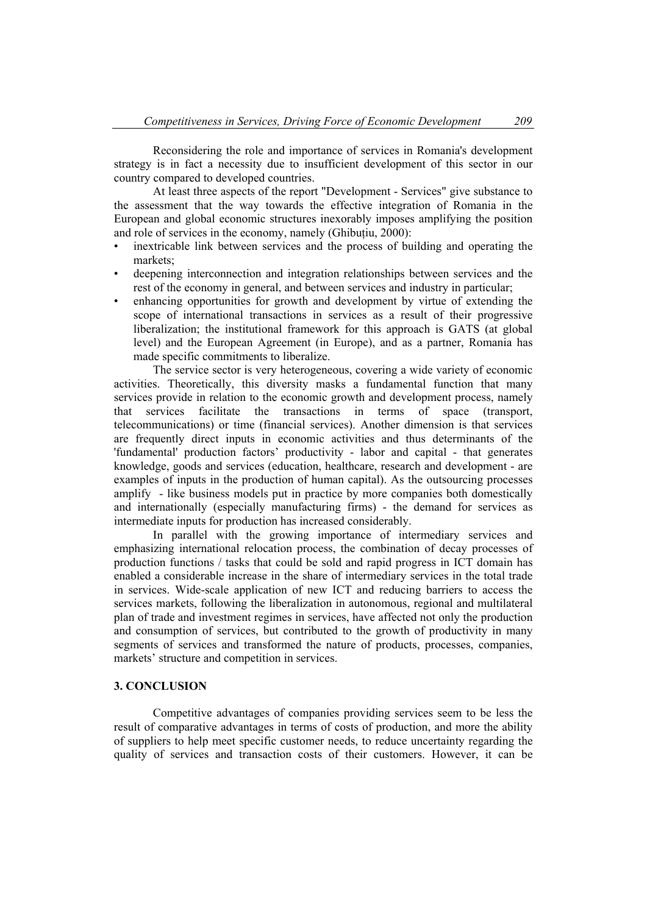Reconsidering the role and importance of services in Romania's development strategy is in fact a necessity due to insufficient development of this sector in our country compared to developed countries.

 At least three aspects of the report "Development - Services" give substance to the assessment that the way towards the effective integration of Romania in the European and global economic structures inexorably imposes amplifying the position and role of services in the economy, namely (Ghibutiu, 2000):

- inextricable link between services and the process of building and operating the markets;
- deepening interconnection and integration relationships between services and the rest of the economy in general, and between services and industry in particular;
- enhancing opportunities for growth and development by virtue of extending the scope of international transactions in services as a result of their progressive liberalization; the institutional framework for this approach is GATS (at global level) and the European Agreement (in Europe), and as a partner, Romania has made specific commitments to liberalize.

The service sector is very heterogeneous, covering a wide variety of economic activities. Theoretically, this diversity masks a fundamental function that many services provide in relation to the economic growth and development process, namely that services facilitate the transactions in terms of space (transport, telecommunications) or time (financial services). Another dimension is that services are frequently direct inputs in economic activities and thus determinants of the 'fundamental' production factors' productivity - labor and capital - that generates knowledge, goods and services (education, healthcare, research and development - are examples of inputs in the production of human capital). As the outsourcing processes amplify - like business models put in practice by more companies both domestically and internationally (especially manufacturing firms) - the demand for services as intermediate inputs for production has increased considerably.

In parallel with the growing importance of intermediary services and emphasizing international relocation process, the combination of decay processes of production functions / tasks that could be sold and rapid progress in ICT domain has enabled a considerable increase in the share of intermediary services in the total trade in services. Wide-scale application of new ICT and reducing barriers to access the services markets, following the liberalization in autonomous, regional and multilateral plan of trade and investment regimes in services, have affected not only the production and consumption of services, but contributed to the growth of productivity in many segments of services and transformed the nature of products, processes, companies, markets' structure and competition in services.

#### **3. CONCLUSION**

Competitive advantages of companies providing services seem to be less the result of comparative advantages in terms of costs of production, and more the ability of suppliers to help meet specific customer needs, to reduce uncertainty regarding the quality of services and transaction costs of their customers. However, it can be